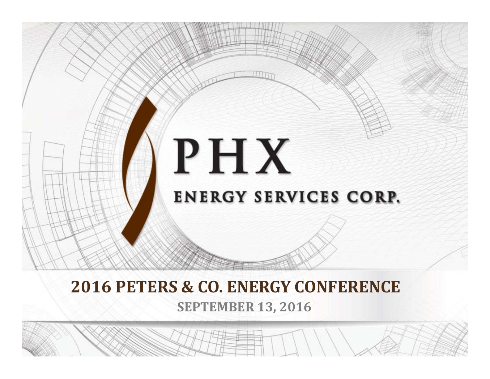

#### **SEPTEMBER 13, 2016 2016 PETERS & CO. ENERGY CONFERENCE**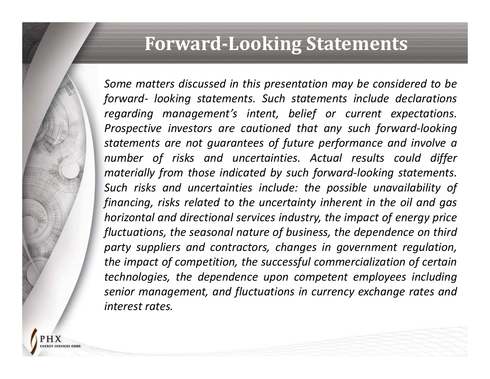### **Forward‐Looking Statements**

*Some matters discussed in this presentation may be considered to be forward‐ looking statements. Such statements include declarations regarding management's intent, belief or current expectations. Prospective investors are cautioned that any such forward‐looking statements are not guarantees of future performance and involve <sup>a</sup> number of risks and uncertainties. Actual results could differ materially from those indicated by such forward‐looking statements. Such risks and uncertainties include: the possible unavailability of* financing, risks related to the uncertainty inherent in the oil and gas *horizontal and directional services industry, the impact of energy price fluctuations, the seasonal nature of business, the dependence on third party suppliers and contractors, changes in government regulation, the impact of competition, the successful commercialization of certain technologies, the dependence upon competent employees including senior management, and fluctuations in currency exchange rates and interest rates.*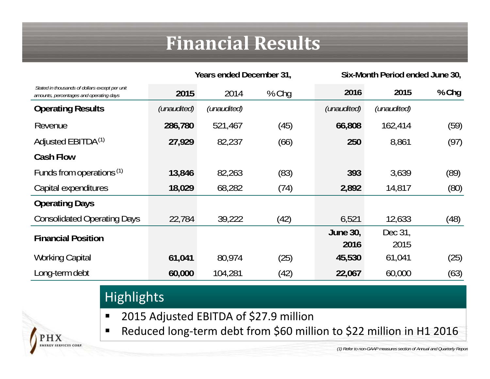# **Financial Results**

|                                                                                           | Years ended December 31, |             |         | Six-Month Period ended June 30, |                 |       |
|-------------------------------------------------------------------------------------------|--------------------------|-------------|---------|---------------------------------|-----------------|-------|
| Stated in thousands of dollars except per unit<br>amounts, percentages and operating days | 2015                     | 2014        | $%$ Chq | 2016                            | 2015            | % Chg |
| <b>Operating Results</b>                                                                  | (unaudited)              | (unaudited) |         | (unaudited)                     | (unaudited)     |       |
| Revenue                                                                                   | 286,780                  | 521,467     | (45)    | 66,808                          | 162,414         | (59)  |
| Adjusted EBITDA <sup>(1)</sup>                                                            | 27,929                   | 82,237      | (66)    | 250                             | 8,861           | (97)  |
| <b>Cash Flow</b>                                                                          |                          |             |         |                                 |                 |       |
| Funds from operations <sup>(1)</sup>                                                      | 13,846                   | 82,263      | (83)    | 393                             | 3,639           | (89)  |
| Capital expenditures                                                                      | 18,029                   | 68,282      | (74)    | 2,892                           | 14,817          | (80)  |
| <b>Operating Days</b>                                                                     |                          |             |         |                                 |                 |       |
| <b>Consolidated Operating Days</b>                                                        | 22,784                   | 39,222      | (42)    | 6,521                           | 12,633          | (48)  |
| <b>Financial Position</b>                                                                 |                          |             |         | <b>June 30,</b><br>2016         | Dec 31,<br>2015 |       |
| <b>Working Capital</b>                                                                    | 61,041                   | 80,974      | (25)    | 45,530                          | 61,041          | (25)  |
| Long-term debt                                                                            | 60,000                   | 104,281     | (42)    | 22,067                          | 60,000          | (63)  |

#### **Highlights**

'H X

**SERVICES CORI** 

- $\blacksquare$ ■ 2015 Adjusted EBITDA of \$27.9 million
- $\blacksquare$ ■ Reduced long-term debt from \$60 million to \$22 million in H1 2016

*(1) Refer to non-GAAP measures section of Annual and Quarterly Report*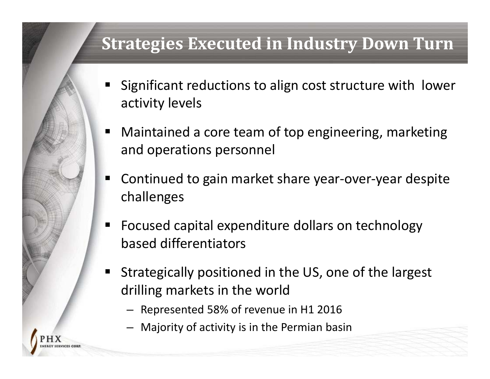#### **Strategies Executed in Industry Down Turn**

- ٠ Significant reductions to align cost structure with lower activity levels
- ■ Maintained a core team of top engineering, marketing and operations personnel
- ٠ ■ Continued to gain market share year-over-year despite challenges
- $\blacksquare$ ■ Focused capital expenditure dollars on technology based differentiators
- Strategically positioned in the US, one of the largest drilling markets in the world
	- Represented 58% of revenue in H1 2016
	- –Majority of activity is in the Permian basin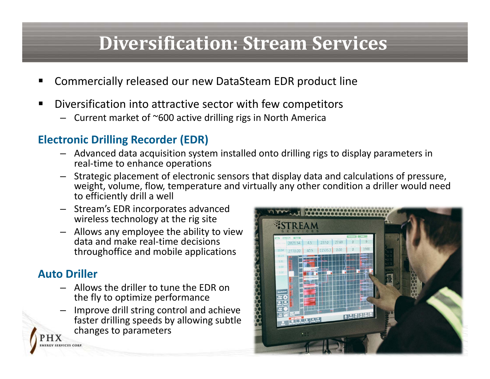# **Diversification: Stream Services**

- П Commercially released our new DataSteam EDR product line
- П ■ Diversification into attractive sector with few competitors
	- Current market of ~600 active drilling rigs in North America

#### **Electronic Drilling Recorder (EDR)**

- Advanced data acquisition system installed onto drilling rigs to display parameters in real‐time to enhance operations
- Strategic placement of electronic sensors that display data and calculations of pressure, weight, volume, flow, temperature and virtually any other condition <sup>a</sup> driller would need to efficiently drill <sup>a</sup> well
- Stream's EDR incorporates advanced wireless technology at the rig site
- Allows any employee the ability to view data and make real‐time decisions throughoffice and mobile applications

#### **Auto Driller**

SERVICES CORE

- Allows the driller to tune the EDR on the fly to optimize performance
- Improve drill string control and achieve faster drilling speeds by allowing subtle changes to parameters

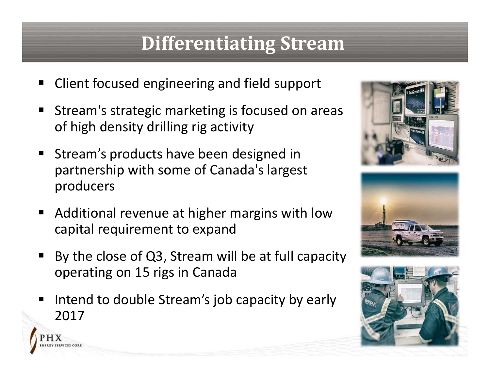# **Differentiating Stream**

- п ■ Client focused engineering and field support
- L Stream's strategic marketing is focused on areas of high density drilling rig activity
- E Stream's products have been designed in partnership with some of Canada's largest producers
- E ■ Additional revenue at higher margins with low capital requirement to expand
- E By the close of Q3, Stream will be at full capacity operating on 15 rigs in Canada
- L ■ Intend to double Stream's job capacity by early 2017